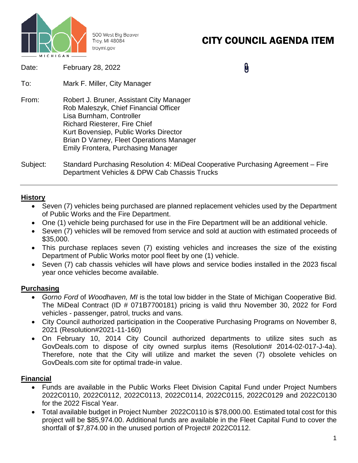

500 West Big Beaver Troy, MI 48084 troymi.gov

# CITY COUNCIL AGENDA ITEM

| Date: | February 28, 2022 |
|-------|-------------------|
|-------|-------------------|

0

- To: Mark F. Miller, City Manager
- From: Robert J. Bruner, Assistant City Manager Rob Maleszyk, Chief Financial Officer Lisa Burnham, Controller Richard Riesterer, Fire Chief Kurt Bovensiep, Public Works Director Brian D Varney, Fleet Operations Manager Emily Frontera, Purchasing Manager
- Subject: Standard Purchasing Resolution 4: MiDeal Cooperative Purchasing Agreement Fire Department Vehicles & DPW Cab Chassis Trucks

### **History**

- Seven (7) vehicles being purchased are planned replacement vehicles used by the Department of Public Works and the Fire Department.
- One (1) vehicle being purchased for use in the Fire Department will be an additional vehicle.
- Seven (7) vehicles will be removed from service and sold at auction with estimated proceeds of \$35,000.
- This purchase replaces seven (7) existing vehicles and increases the size of the existing Department of Public Works motor pool fleet by one (1) vehicle.
- Seven (7) cab chassis vehicles will have plows and service bodies installed in the 2023 fiscal year once vehicles become available.

#### **Purchasing**

- *Gorno Ford* of *Woodhaven, MI* is the total low bidder in the State of Michigan Cooperative Bid. The MiDeal Contract (ID # 071B7700181) pricing is valid thru November 30, 2022 for Ford vehicles - passenger, patrol, trucks and vans.
- City Council authorized participation in the Cooperative Purchasing Programs on November 8, 2021 (Resolution#2021-11-160)
- On February 10, 2014 City Council authorized departments to utilize sites such as GovDeals.com to dispose of city owned surplus items (Resolution# 2014-02-017-J-4a). Therefore, note that the City will utilize and market the seven (7) obsolete vehicles on GovDeals.com site for optimal trade-in value.

## **Financial**

- Funds are available in the Public Works Fleet Division Capital Fund under Project Numbers 2022C0110, 2022C0112, 2022C0113, 2022C0114, 2022C0115, 2022C0129 and 2022C0130 for the 2022 Fiscal Year.
- Total available budget in Project Number 2022C0110 is \$78,000.00. Estimated total cost for this project will be \$85,974.00. Additional funds are available in the Fleet Capital Fund to cover the shortfall of \$7,874.00 in the unused portion of Project# 2022C0112.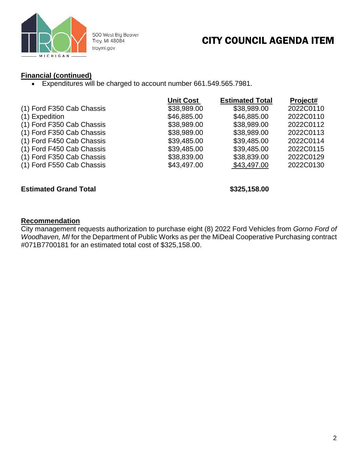

500 West Big Beaver Troy, MI 48084 troymi.gov

## CITY COUNCIL AGENDA ITEM

## **Financial (continued)**

• Expenditures will be charged to account number 661.549.565.7981.

|                           | <b>Unit Cost</b> | <b>Estimated Total</b> | Project#  |
|---------------------------|------------------|------------------------|-----------|
| (1) Ford F350 Cab Chassis | \$38,989.00      | \$38,989.00            | 2022C0110 |
| (1) Expedition            | \$46,885.00      | \$46,885.00            | 2022C0110 |
| (1) Ford F350 Cab Chassis | \$38,989.00      | \$38,989.00            | 2022C0112 |
| (1) Ford F350 Cab Chassis | \$38,989.00      | \$38,989.00            | 2022C0113 |
| (1) Ford F450 Cab Chassis | \$39,485.00      | \$39,485.00            | 2022C0114 |
| (1) Ford F450 Cab Chassis | \$39,485.00      | \$39,485.00            | 2022C0115 |
| (1) Ford F350 Cab Chassis | \$38,839.00      | \$38,839.00            | 2022C0129 |
| (1) Ford F550 Cab Chassis | \$43,497.00      | \$43,497.00            | 2022C0130 |

#### **Estimated Grand Total 6.000 and 100 and 100 and 100 and 100 and 100 and 100 and 100 and 100 and 100 and 100 and 100 and 100 and 100 and 100 and 100 and 100 and 100 and 100 and 100 and 100 and 100 and 100 and 100 and 100 a**

#### **Recommendation**

City management requests authorization to purchase eight (8) 2022 Ford Vehicles from *Gorno Ford of Woodhaven, MI* for the Department of Public Works as per the MiDeal Cooperative Purchasing contract #071B7700181 for an estimated total cost of \$325,158.00.